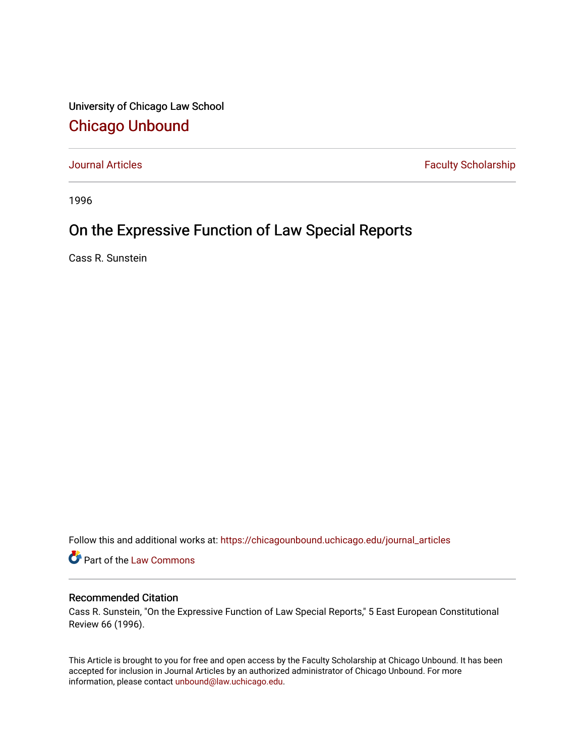University of Chicago Law School [Chicago Unbound](https://chicagounbound.uchicago.edu/)

[Journal Articles](https://chicagounbound.uchicago.edu/journal_articles) **Faculty Scholarship Faculty Scholarship** 

1996

# On the Expressive Function of Law Special Reports

Cass R. Sunstein

Follow this and additional works at: [https://chicagounbound.uchicago.edu/journal\\_articles](https://chicagounbound.uchicago.edu/journal_articles?utm_source=chicagounbound.uchicago.edu%2Fjournal_articles%2F8492&utm_medium=PDF&utm_campaign=PDFCoverPages) 

Part of the [Law Commons](http://network.bepress.com/hgg/discipline/578?utm_source=chicagounbound.uchicago.edu%2Fjournal_articles%2F8492&utm_medium=PDF&utm_campaign=PDFCoverPages)

#### Recommended Citation

Cass R. Sunstein, "On the Expressive Function of Law Special Reports," 5 East European Constitutional Review 66 (1996).

This Article is brought to you for free and open access by the Faculty Scholarship at Chicago Unbound. It has been accepted for inclusion in Journal Articles by an authorized administrator of Chicago Unbound. For more information, please contact [unbound@law.uchicago.edu](mailto:unbound@law.uchicago.edu).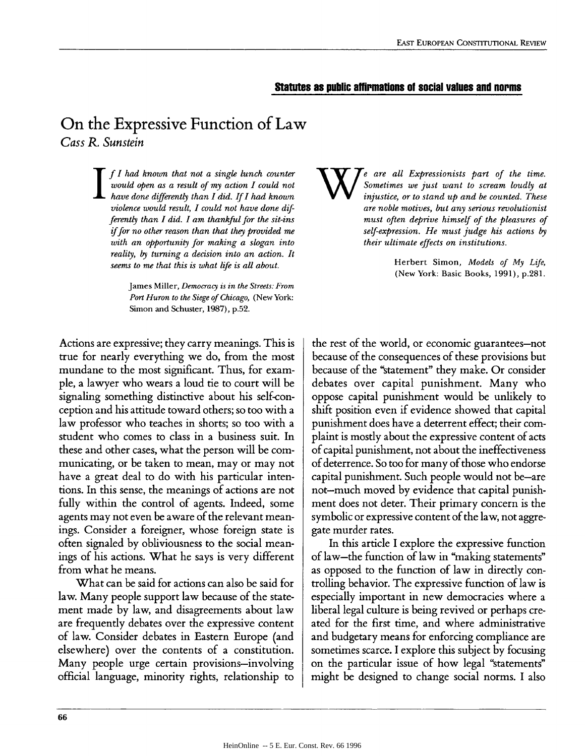#### **Statutes as public affirmations of social values and norms**

# On the Expressive Function of Law *Cass R. Sunstein*

*f I had known that not a single lunch counter would open as a result of my action I could not have done differently than I did. If I had known violence would result, I could not have done differently than I did. I am thankful for the sit-ins iffor no other reason than that they provided me with an opportunity for making a slogan into reality, by turning a decision into an action. It seems to me that this is what life is all about.*

> James Miller, *Democracy is in the Streets: From Port Huron to the Siege of Chicago,* (New York: Simon and Schuster, 1987), p.52.

Actions are expressive; they carry meanings. This is true for nearly everything we do, from the most mundane to the most significant. Thus, for example, a lawyer who wears a loud tie to court will be signaling something distinctive about his self-conception and his attitude toward others; so too with a law professor who teaches in shorts; so too with a student who comes to class in a business suit. In these and other cases, what the person will be communicating, or be taken to mean, may or may not have a great deal to do with his particular intentions. In this sense, the meanings of actions are not fully within the control of agents. Indeed, some agents may not even be aware of the relevant meanings. Consider a foreigner, whose foreign state is often signaled by obliviousness to the social meanings of his actions. What he says is very different from what he means.

What can be said for actions can also be said for law. Many people support law because of the statement made by law, and disagreements about law are frequently debates over the expressive content of law. Consider debates in Eastern Europe (and elsewhere) over the contents of a constitution. Many people urge certain provisions-involving official language, minority rights, relationship to

*XWe are. al Expressionists part of the time.* **<sup>J</sup>***Sometimes we just want to scream loudly at V V injustice, or to stand up and be counted. These are noble motives, but any serious revolutionist must often deprive himself of the pleasures of self-expression. He must judge his actions by their ultimate effects on institutions.*

> Herbert Simon, *Models of My Life,* (New York: Basic Books, 1991), p.281.

the rest of the world, or economic guarantees-not because of the consequences of these provisions but because of the "statement" they make. Or consider debates over capital punishment. Many who oppose capital punishment would be unlikely to shift position even if evidence showed that capital punishment does have a deterrent effect; their complaint is mostly about the expressive content of acts of capital punishment, not about the ineffectiveness of deterrence. So too for many of those who endorse capital punishment. Such people would not be-are not-much moved by evidence that capital punishment does not deter. Their primary concern is the symbolic or expressive content of the law, not aggregate murder rates.

In this article I explore the expressive function of law-the function of law in "making statements" as opposed to the function of law in directly controlling behavior. The expressive function of law is especially important in new democracies where a liberal legal culture is being revived or perhaps created for the first time, and where administrative and budgetary means for enforcing compliance are sometimes scarce. I explore this subject by focusing on the particular issue of how legal "statements" might be designed to change social norms. I also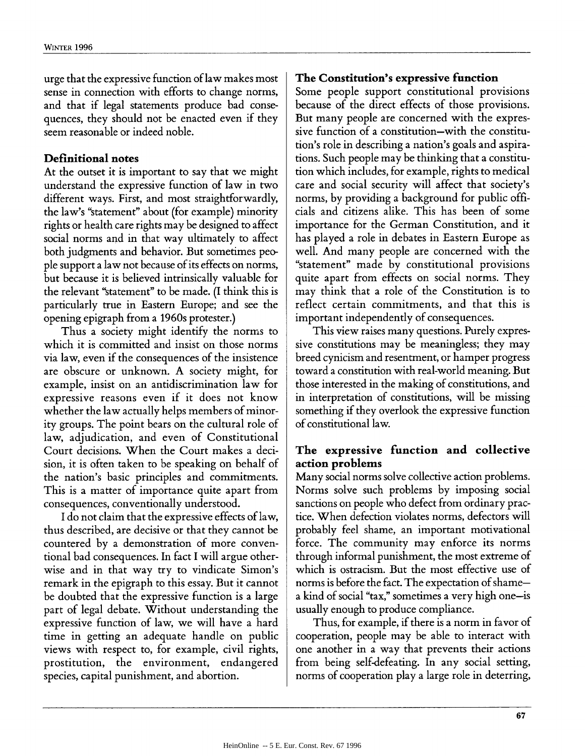urge that the expressive function of law makes most sense in connection with efforts to change norms, and that if legal statements produce bad consequences, they should not be enacted even if they seem reasonable or indeed noble.

#### **Definitional notes**

At the outset it is important to say that we might understand the expressive function of law in two different ways. First, and most straightforwardly, the law's "statement" about (for example) minority rights or health care rights may be designed to affect social norms and in that way ultimately to affect both judgments and behavior. But sometimes people support a law not because of its effects on norms, but because it is believed intrinsically valuable for the relevant "statement" to be made. (I think this is particularly true in Eastern Europe; and see the opening epigraph from a 1960s protester.)

Thus a society might identify the norms to which it is committed and insist on those norms via law, even if the consequences of the insistence are obscure or unknown. A society might, for example, insist on an antidiscrimination law for expressive reasons even if it does not know whether the law actually helps members of minority groups. The point bears on the cultural role of law, adjudication, and even of Constitutional Court decisions. When the Court makes a decision, it is often taken to be speaking on behalf of the nation's basic principles and commitments. This is a matter of importance quite apart from consequences, conventionally understood.

I do not claim that the expressive effects of law, thus described, are decisive or that they cannot be countered by a demonstration of more conventional bad consequences. In fact I will argue otherwise and in that way try to vindicate Simon's remark in the epigraph to this essay. But it cannot be doubted that the expressive function is a large part of legal debate. Without understanding the expressive function of law, we will have a hard time in getting an adequate handle on public views with respect to, for example, civil rights, prostitution, the environment, endangered species, capital punishment, and abortion.

#### **The Constitution's expressive function**

Some people support constitutional provisions because of the direct effects of those provisions. But many people are concerned with the expressive function of a constitution-with the constitution's role in describing a nation's goals and aspirations. Such people may be thinking that a constitution which includes, for example, rights to medical care and social security will affect that society's norms, by providing a background for public officials and citizens alike. This has been of some importance for the German Constitution, and it has played a role in debates in Eastern Europe as well. And many people are concerned with the "statement" made by constitutional provisions quite apart from effects on social norms. They may think that a role of the Constitution is to reflect certain commitments, and that this is important independently of consequences.

This view raises many questions. Purely expressive constitutions may be meaningless; they may breed cynicism and resentment, or hamper progress toward a constitution with real-world meaning. But those interested in the making of constitutions, and in interpretation of constitutions, will be missing something if they overlook the expressive function of constitutional law.

### **The expressive function and collective action problems**

Many social norms solve collective action problems. Norms solve such problems by imposing social sanctions on people who defect from ordinary practice. When defection violates norms, defectors will probably feel shame, an important motivational force. The community may enforce its norms through informal punishment, the most extreme of which is ostracism. But the most effective use of norms is before the fact. The expectation of shamea kind of social "tax," sometimes a very high one-is usually enough to produce compliance.

Thus, for example, if there is a norm in favor of cooperation, people may be able to interact with one another in a way that prevents their actions from being self-defeating. In any social setting, norms of cooperation play a large role in deterring,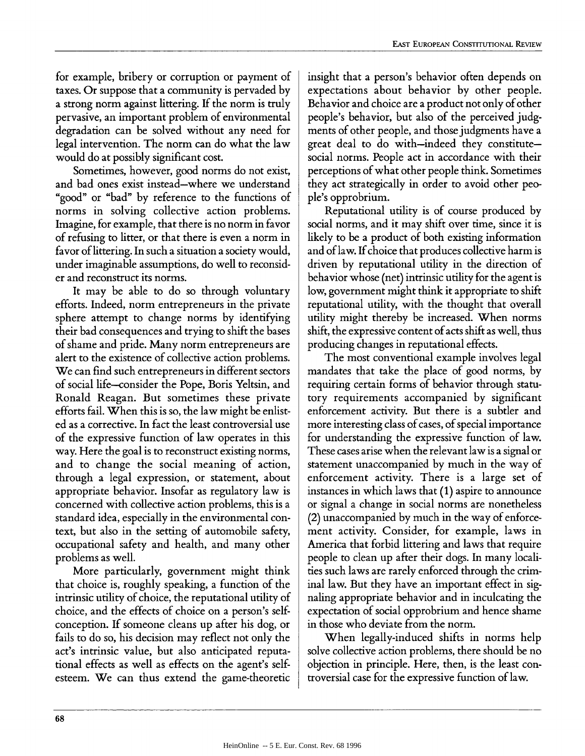for example, bribery or corruption or payment of taxes. Or suppose that a community is pervaded by a strong norm against littering. If the norm is truly pervasive, an important problem of environmental degradation can be solved without any need for legal intervention. The norm can do what the law would do at possibly significant cost.

Sometimes, however, good norms do not exist, and bad ones exist instead-where we understand "good" or "bad" by reference to the functions of norms in solving collective action problems. Imagine, for example, that there is no norm in favor of refusing to litter, or that there is even a norm in favor of littering. In such a situation a society would, under imaginable assumptions, do well to reconsider and reconstruct its norms.

It may be able to do so through voluntary efforts. Indeed, norm entrepreneurs in the private sphere attempt to change norms by identifying their bad consequences and trying to shift the bases of shame and pride. Many norm entrepreneurs are alert to the existence of collective action problems. We can find such entrepreneurs in different sectors of social life--consider the Pope, Boris Yeltsin, and Ronald Reagan. But sometimes these private efforts fail. When this is so, the law might be enlisted as a corrective. In fact the least controversial use of the expressive function of law operates in this way. Here the goal is to reconstruct existing norms, and to change the social meaning of action, through a legal expression, or statement, about appropriate behavior. Insofar as regulatory law is concerned with collective action problems, this is a standard idea, especially in the environmental context, but also in the setting of automobile safety, occupational safety and health, and many other problems as well.

More particularly, government might think that choice is, roughly speaking, a function of the intrinsic utility of choice, the reputational utility of choice, and the effects of choice on a person's selfconception. If someone cleans up after his dog, or fails to do so, his decision may reflect not only the act's intrinsic value, but also anticipated reputational effects as well as effects on the agent's selfesteem. We can thus extend the game-theoretic

insight that a person's behavior often depends on expectations about behavior by other people. Behavior and choice are a product not only of other people's behavior, but also of the perceived judgments of other people, and those judgments have a great deal to do with-indeed they constitutesocial norms. People act in accordance with their perceptions of what other people think. Sometimes they act strategically in order to avoid other people's opprobrium.

Reputational utility is of course produced by social norms, and it may shift over time, since it is likely to be a product of both existing information and of law. If choice that produces collective harm is driven by reputational utility in the direction of behavior whose (net) intrinsic utility for the agent is low, government might think it appropriate to shift reputational utility, with the thought that overall utility might thereby be increased. When norms shift, the expressive content of acts shift as well, thus producing changes in reputational effects.

The most conventional example involves legal mandates that take the place of good norms, by requiring certain forms of behavior through statutory requirements accompanied by significant enforcement activity. But there is a subtler and more interesting class of cases, of special importance for understanding the expressive function of law. These cases arise when the relevant law is a signal or statement unaccompanied by much in the way of enforcement activity. There is a large set of instances in which laws that (1) aspire to announce or signal a change in social norms are nonetheless (2) unaccompanied by much in the way of enforcement activity. Consider, for example, laws in America that forbid littering and laws that require people to clean up after their dogs. In many localities such laws are rarely enforced through the criminal law. But they have an important effect in signaling appropriate behavior and in inculcating the expectation of social opprobrium and hence shame in those who deviate from the norm.

When legally-induced shifts in norms help solve collective action problems, there should be no objection in principle. Here, then, is the least controversial case for the expressive function of law.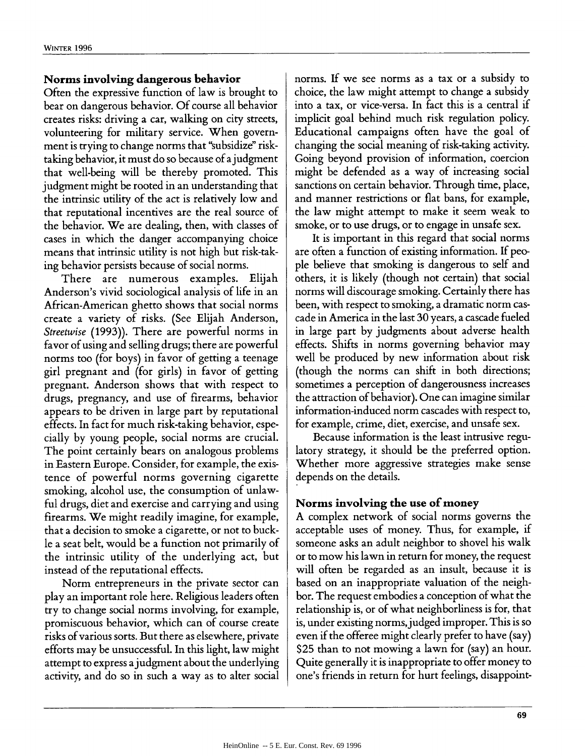### **Norms involving dangerous behavior**

Often the expressive function of law is brought to bear on dangerous behavior. **Of** course all behavior creates risks: **driving** a car, walking on city streets, volunteering for military service. When government is trying to change norms that "subsidize" risktaking behavior, it must do so because of a judgment that well-being will be thereby promoted. This judgment might be rooted in an understanding that the intrinsic utility of the act is relatively low and that reputational incentives are the real source of the behavior. We are dealing, then, with classes of cases **in** which the danger accompanying choice means that intrinsic utility is not **high** but risk-taking behavior persists because of social norms.

There are numerous examples. Elijah Anderson's vivid sociological analysis of life in an African-American ghetto shows that social norms create a variety of risks. (See Elijah Anderson, *Streetwise* **(1993)).** There are powerful norms in favor of using and selling drugs; there are powerful norms too (for boys) in favor of getting a teenage girl pregnant and (for girls) in favor of getting pregnant. Anderson shows that with respect to drugs, pregnancy, and use of firearms, behavior appears to be driven in large part **by** reputational effects. In fact for much risk-taking behavior, especially **by** young people, social norms are crucial. The point certainly bears on analogous problems in Eastern Europe. Consider, for example, the existence of powerful norms governing cigarette smoking, alcohol use, the consumption of unlawful drugs, diet and exercise and carrying and using firearms. We might readily imagine, for example, that a decision to smoke a cigarette, or not to buckle a seat belt, would be a function not primarily of the intrinsic utility of the underlying act, but instead of the reputational effects.

Norm entrepreneurs in the private sector can play an important role here. Religious leaders often try to change social norms involving, for example, promiscuous behavior, which can of course create risks of various sorts. But there as elsewhere, private efforts may be unsuccessful. In this light, law might attempt to express a judgment about the underlying activity, and do so in such a way as to alter social

norms. **If** we see norms as a tax or a subsidy to choice, the law might attempt to change a subsidy into a tax, or vice-versa. In fact this is a central if implicit goal behind much risk regulation policy. Educational campaigns often have the goal of changing the social meaning of risk-taking activity. Going beyond provision of information, coercion might be defended as a way of increasing social sanctions on certain behavior. Through time, place, and manner restrictions or flat bans, for example, the law might attempt to make it seem weak to smoke, or to use drugs, or to engage in unsafe sex.

It is important in this regard that social norms are often a function of existing information. If people believe that smoking is dangerous to self and others, it is likely (though not certain) that social norms will discourage smoking. Certainly there has been, with respect to smoking, a dramatic norm cascade in America in the last **30** years, a cascade fueled in large part **by** judgments about adverse health effects. Shifts in norms governing behavior may well be produced **by** new information about risk (though the norms can shift in both directions; sometimes a perception of dangerousness increases the attraction of behavior). One can imagine similar information-induced norm cascades with respect to, for example, crime, diet, exercise, and unsafe sex.

Because information is the least intrusive regulatory strategy, it should be the preferred option. Whether more aggressive strategies make sense depends on the details.

### **Norms involving the use of money**

**A** complex network of social norms governs the acceptable uses of money. Thus, for example, if someone asks an adult neighbor to shovel his walk or to mow his lawn in return for money, the request will often be regarded as an insult, because it is based on an inappropriate valuation of the neighbor. The request embodies a conception of what the relationship is, or of what neighborliness is for, that is, under existing norms,judged improper. This **is so** even if the offeree might clearly prefer to have (say) **\$25** than to not mowing a lawn for (say) an hour. Quite generally it is inappropriate to offer money to one's friends in return for hurt feelings, disappoint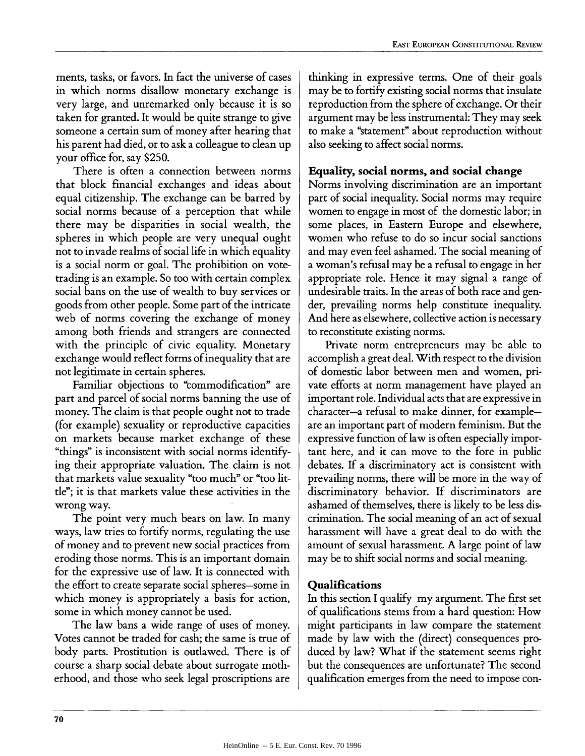ments, tasks, or favors. In fact the universe of cases in which norms disallow monetary exchange is very large, and unremarked only because it is so taken for granted. It would be quite strange to give someone a certain sum of money after hearing that his parent had died, or to ask a colleague to clean up your office for, say \$250.

There is often a connection between norms that block financial exchanges and ideas about equal citizenship. The exchange can be barred by social norms because of a perception that while there may be disparities in social wealth, the spheres in which people are very unequal ought not to invade realms of social life in which equality is a social norm or goal. The prohibition on votetrading is an example. So too with certain complex social bans on the use of wealth to buy services or goods from other people. Some part of the intricate web of norms covering the exchange of money among both friends and strangers are connected with the principle of civic equality. Monetary exchange would reflect forms of inequality that are not legitimate in certain spheres.

Familiar objections to "commodification" are part and parcel of social norms banning the use of money. The claim is that people ought not to trade (for example) sexuality or reproductive capacities on markets because market exchange of these "things" is inconsistent with social norms identifying their appropriate valuation. The claim is not that markets value sexuality "too much" or "too little"; it is that markets value these activities in the wrong way.

The point very much bears on law. In many ways, law tries to fortify norms, regulating the use of money and to prevent new social practices from eroding those norms. This is an important domain for the expressive use of law. It is connected with the effort to create separate social spheres-some in which money is appropriately a basis for action, some in which money cannot be used.

The law bans a wide range of uses of money. Votes cannot be traded for cash; the same is true of body parts. Prostitution is outlawed. There is of course a sharp social debate about surrogate motherhood, and those who seek legal proscriptions are

thinking in expressive terms. One of their goals may be to fortify existing social norms that insulate reproduction from the sphere of exchange. Or their argument may be less instrumental: They may seek to make a "statement" about reproduction without also seeking to affect social norms.

## **Equality, social norms, and social change**

Norms involving discrimination are an important part of social inequality. Social norms may require women to engage in most of the domestic labor; in some places, in Eastern Europe and elsewhere, women who refuse to do so incur social sanctions and may even feel ashamed. The social meaning of a woman's refusal may be a refusal to engage in her appropriate role. Hence it may signal a range of undesirable traits. In the areas of both race and gender, prevailing norms help constitute inequality. And here as elsewhere, collective action is necessary to reconstitute existing norms.

Private norm entrepreneurs may be able to accomplish a great deal. With respect to the division of domestic labor between men and women, private efforts at norm management have played an important role. Individual acts that are expressive in character-a refusal to make dinner, for exampleare an important part of modern feminism. But the expressive function of law is often especially important here, and it can move to the fore in public debates. If a discriminatory act is consistent with prevailing norms, there will be more in the way of discriminatory behavior. If discriminators are ashamed of themselves, there is likely to be less discrimination. The social meaning of an act of sexual harassment will have a great deal to do with the amount of sexual harassment. A large point of law may be to shift social norms and social meaning.

## **Qualifications**

In this section I qualify my argument. The first set of qualifications stems from a hard question: How might participants in law compare the statement made by law with the (direct) consequences produced by law? What if the statement seems right but the consequences are unfortunate? The second qualification emerges from the need to impose con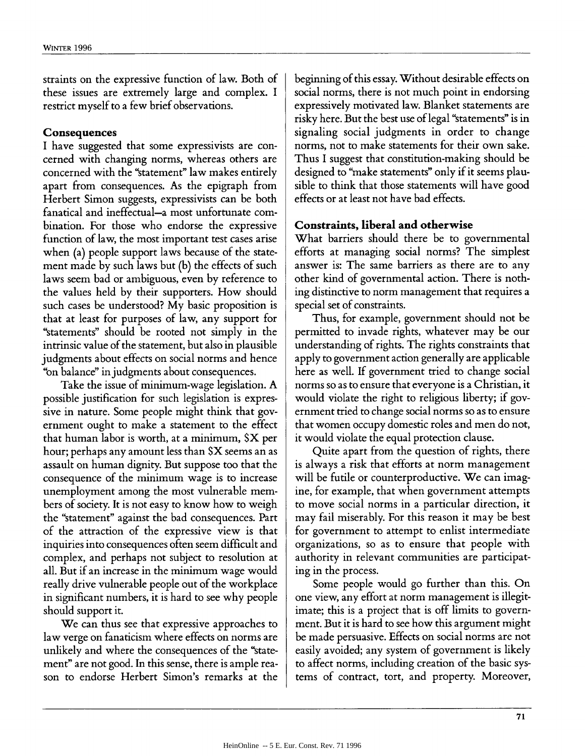straints on the expressive function of law. Both of these issues are extremely large and complex. I restrict myself to a few brief observations.

#### **Consequences**

I have suggested that some expressivists are concerned with changing norms, whereas others are concerned with the "statement" law makes entirely apart from consequences. As the epigraph from Herbert Simon suggests, expressivists can be both fanatical and ineffectual-a most unfortunate combination. For those who endorse the expressive function of law, the most important test cases arise when (a) people support laws because of the statement made by such laws but (b) the effects of such laws seem bad or ambiguous, even by reference to the values held by their supporters. How should such cases be understood? My basic proposition is that at least for purposes of law, any support for "statements" should be rooted not simply in the intrinsic value of the statement, but also in plausible judgments about effects on social norms and hence "on balance" in judgments about consequences.

Take the issue of minimum-wage legislation. A possible justification for such legislation is expressive in nature. Some people might think that government ought to make a statement to the effect that human labor is worth, at a minimum, \$X per hour; perhaps any amount less than \$X seems an as assault on human dignity. But suppose too that the consequence of the minimum wage is to increase unemployment among the most vulnerable members of society. It is not easy to know how to weigh the "statement" against the bad consequences. Part of the attraction of the expressive view is that inquiries into consequences often seem difficult and complex, and perhaps not subject to resolution at all. But if an increase in the minimum wage would really drive vulnerable people out of the workplace in significant numbers, it is hard to see why people should support it.

We can thus see that expressive approaches to law verge on fanaticism where effects on norms are unlikely and where the consequences of the "statement" are not good. In this sense, there is ample reason to endorse Herbert Simon's remarks at the

beginning of this essay. Without desirable effects on social norms, there is not much point in endorsing expressively motivated law. Blanket statements are risky here. But the best use of legal "statements" is in signaling social judgments in order to change norms, not to make statements for their own sake. Thus I suggest that constitution-making should be designed to "make statements" only if it seems plausible to think that those statements will have good effects or at least not have bad effects.

#### **Constraints, liberal and otherwise**

What barriers should there be to governmental efforts at managing social norms? The simplest answer is: The same barriers as there are to any other kind of governmental action. There is nothing distinctive to norm management that requires a special set of constraints.

Thus, for example, government should not be permitted to invade rights, whatever may be our understanding of rights. The rights constraints that apply to government action generally are applicable here as well. **If** government tried to change social norms so as to ensure that everyone is a Christian, it would violate the right to religious liberty; if government tried to change social norms so as to ensure that women occupy domestic roles and men do not, it would violate the equal protection clause.

Quite apart from the question of rights, there is always a risk that efforts at norm management will be futile or counterproductive. We can imagine, for example, that when government attempts to move social norms in a particular direction, it may fail miserably. For this reason it may be best for government to attempt to enlist intermediate organizations, so as to ensure that people with authority in relevant communities are participating in the process.

Some people would go further than this. On one view, any effort at norm management is illegitimate; this is a project that is off limits to government. But it is hard to see how this argument might be made persuasive. Effects on social norms are not easily avoided; any system of government is likely to affect norms, including creation of the basic systems of contract, tort, and property. Moreover,